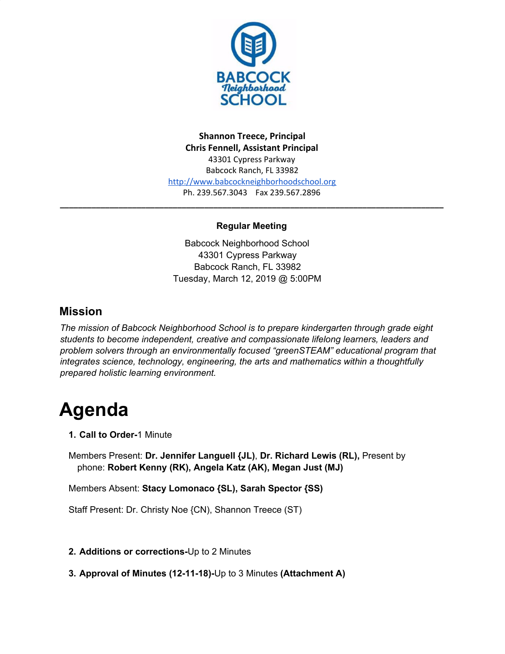

**Shannon Treece, Principal Chris Fennell, Assistant Principal** 43301 Cypress Parkway Babcock Ranch, FL 33982 [http://www.babcockneighborhoodschool.org](http://www.babcockneighborhoodschool.org/) Ph. 239.567.3043 Fax 239.567.2896

#### **Regular Meeting**

**\_\_\_\_\_\_\_\_\_\_\_\_\_\_\_\_\_\_\_\_\_\_\_\_\_\_\_\_\_\_\_\_\_\_\_\_\_\_\_\_\_\_\_\_\_\_\_\_\_\_\_\_\_\_\_\_\_\_\_\_\_\_\_\_\_\_\_\_\_\_\_\_\_\_\_\_\_\_\_\_\_\_\_\_\_**

Babcock Neighborhood School 43301 Cypress Parkway Babcock Ranch, FL 33982 Tuesday, March 12, 2019 @ 5:00PM

## **Mission**

*The mission of Babcock Neighborhood School is to prepare kindergarten through grade eight students to become independent, creative and compassionate lifelong learners, leaders and problem solvers through an environmentally focused "greenSTEAM" educational program that integrates science, technology, engineering, the arts and mathematics within a thoughtfully prepared holistic learning environment.*

# **Agenda**

**1. Call to Order-**1 Minute

Members Present: **Dr. Jennifer Languell {JL)**, **Dr. Richard Lewis (RL),** Present by phone: **Robert Kenny (RK), Angela Katz (AK), Megan Just (MJ)**

Members Absent: **Stacy Lomonaco {SL), Sarah Spector {SS)**

Staff Present: Dr. Christy Noe {CN), Shannon Treece (ST)

#### **2. Additions or corrections-**Up to 2 Minutes

**3. Approval of Minutes (12-11-18)-**Up to 3 Minutes **(Attachment A)**